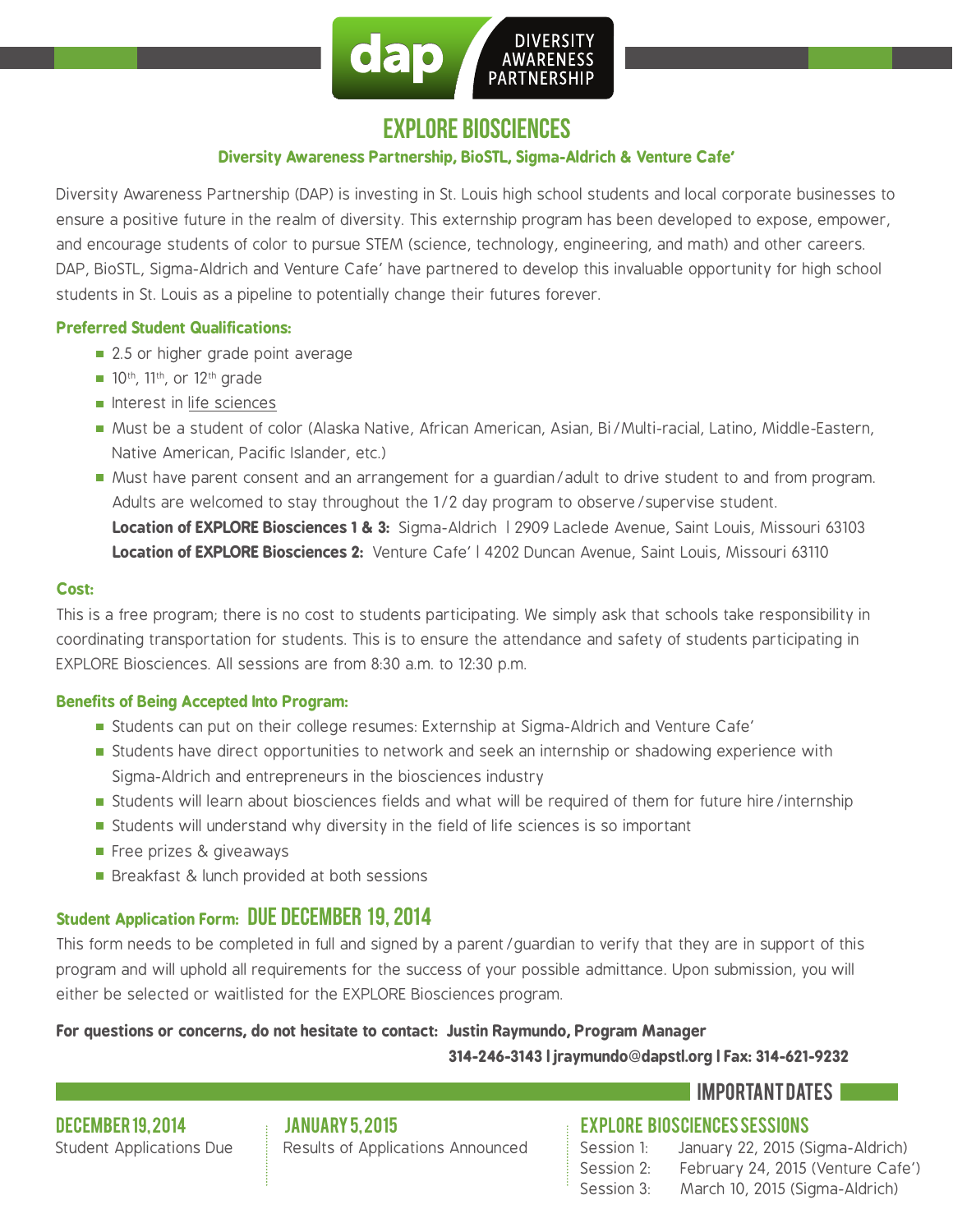

## explore biosciences

#### **Diversity Awareness Partnership, BioSTL, Sigma-Aldrich & Venture Cafe`**

Diversity Awareness Partnership (DAP) is investing in St. Louis high school students and local corporate businesses to ensure a positive future in the realm of diversity. This externship program has been developed to expose, empower, and encourage students of color to pursue STEM (science, technology, engineering, and math) and other careers. DAP, BioSTL, Sigma-Aldrich and Venture Cafe' have partnered to develop this invaluable opportunity for high school students in St. Louis as a pipeline to potentially change their futures forever.

#### **Preferred Student Qualifications:**

- 2.5 or higher grade point average
- $\blacksquare$  10<sup>th</sup>, 11<sup>th</sup>, or 12<sup>th</sup> grade
- $\blacksquare$  Interest in life sciences
- Must be a student of color (Alaska Native, African American, Asian, Bi/Multi-racial, Latino, Middle-Eastern, Native American, Pacific Islander, etc.)
- Must have parent consent and an arrangement for a guardian/adult to drive student to and from program. Adults are welcomed to stay throughout the 1/2 day program to observe/supervise student. **Location of EXPLORE Biosciences 1 & 3:** Sigma-Aldrich | 2909 Laclede Avenue, Saint Louis, Missouri 63103 **Location of EXPLORE Biosciences 2:** Venture Cafe` | 4202 Duncan Avenue, Saint Louis, Missouri 63110

#### **Cost:**

This is a free program; there is no cost to students participating. We simply ask that schools take responsibility in coordinating transportation for students. This is to ensure the attendance and safety of students participating in EXPLORE Biosciences. All sessions are from 8:30 a.m. to 12:30 p.m.

#### **Benefits of Being Accepted Into Program:**

- Students can put on their college resumes: Externship at Sigma-Aldrich and Venture Cafe`
- **Students have direct opportunities to network and seek an internship or shadowing experience with** Sigma-Aldrich and entrepreneurs in the biosciences industry
- Students will learn about biosciences fields and what will be required of them for future hire/internship
- Students will understand why diversity in the field of life sciences is so important
- Free prizes & giveaways
- Breakfast & lunch provided at both sessions

### **Student Application Form: DUE DECEMBER 19, 2014**

This form needs to be completed in full and signed by a parent/guardian to verify that they are in support of this program and will uphold all requirements for the success of your possible admittance. Upon submission, you will either be selected or waitlisted for the EXPLORE Biosciences program.

## **For questions or concerns, do not hesitate to contact: Justin Raymundo, Program Manager**

 **314-246-3143 | jraymundo@dapstl.org | Fax: 314-621-9232**

### important dates

december 19, 2014 Student Applications Due january 5, 2015

Results of Applications Announced

explore biosciences sessions

| Session 1: | January 22, 2015 (Sigma-Aldrich)  |
|------------|-----------------------------------|
| Session 2: | February 24, 2015 (Venture Cafe') |
| Session 3: | March 10, 2015 (Sigma-Aldrich)    |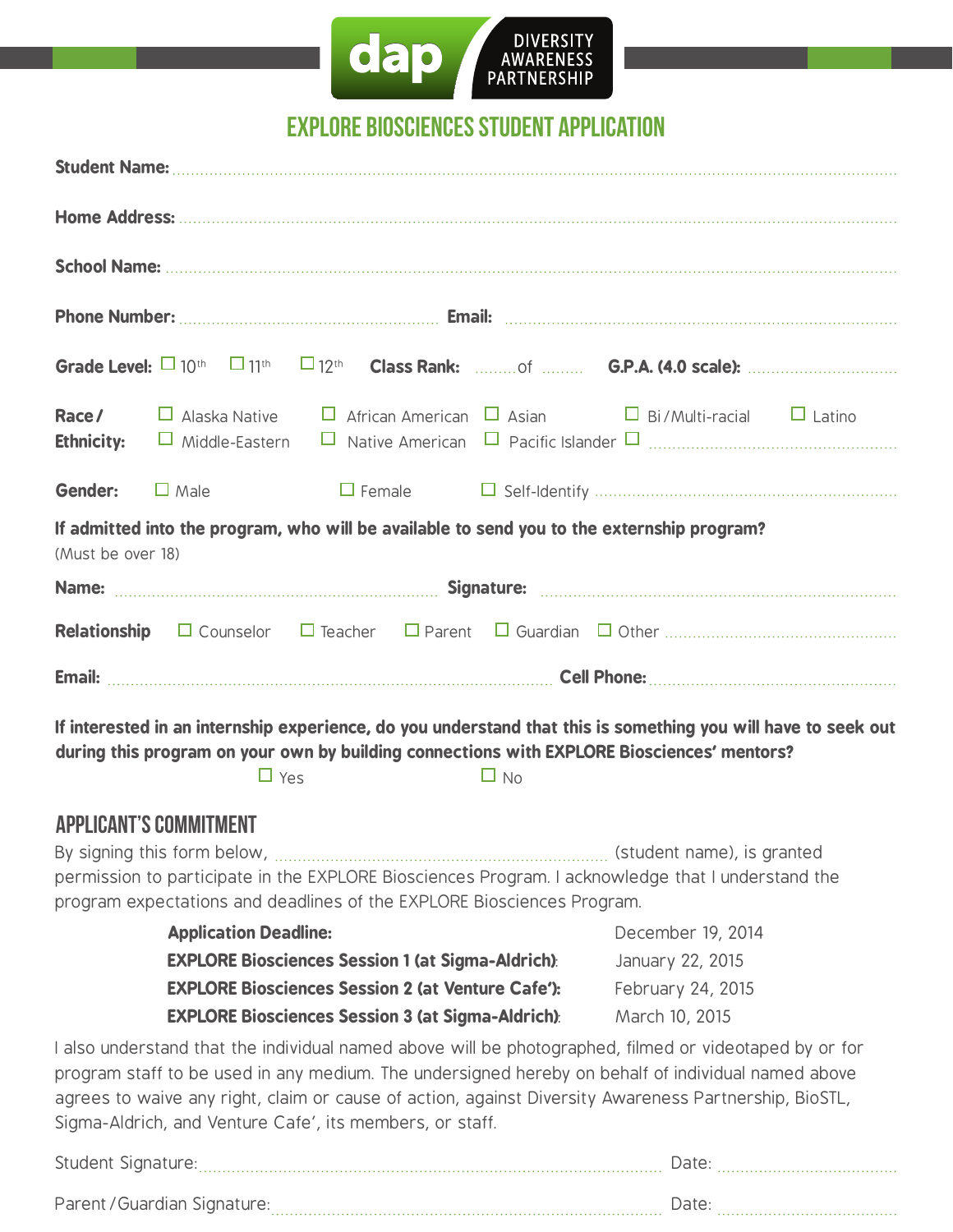

# explore biosciences student application

|                                                                                                                                                                                                                                                                                                                                                                                   |  |  |                                                         | <b>Race/</b> $\Box$ Alaska Native $\Box$ African American $\Box$ Asian $\Box$ Bi/Multi-racial $\Box$ Latino |  |  |  |  |
|-----------------------------------------------------------------------------------------------------------------------------------------------------------------------------------------------------------------------------------------------------------------------------------------------------------------------------------------------------------------------------------|--|--|---------------------------------------------------------|-------------------------------------------------------------------------------------------------------------|--|--|--|--|
| <b>Gender:</b> $\Box$ Male                                                                                                                                                                                                                                                                                                                                                        |  |  |                                                         |                                                                                                             |  |  |  |  |
| If admitted into the program, who will be available to send you to the externship program?<br>(Must be over 18)                                                                                                                                                                                                                                                                   |  |  |                                                         |                                                                                                             |  |  |  |  |
|                                                                                                                                                                                                                                                                                                                                                                                   |  |  |                                                         |                                                                                                             |  |  |  |  |
|                                                                                                                                                                                                                                                                                                                                                                                   |  |  |                                                         |                                                                                                             |  |  |  |  |
|                                                                                                                                                                                                                                                                                                                                                                                   |  |  |                                                         |                                                                                                             |  |  |  |  |
| If interested in an internship experience, do you understand that this is something you will have to seek out<br>during this program on your own by building connections with EXPLORE Biosciences' mentors?<br>$\Box$ Yes<br>$\Box$ No                                                                                                                                            |  |  |                                                         |                                                                                                             |  |  |  |  |
| <b>APPLICANT'S COMMITMENT</b><br>permission to participate in the EXPLORE Biosciences Program. I acknowledge that I understand the<br>program expectations and deadlines of the EXPLORE Biosciences Program.                                                                                                                                                                      |  |  |                                                         |                                                                                                             |  |  |  |  |
| <b>Application Deadline:</b>                                                                                                                                                                                                                                                                                                                                                      |  |  |                                                         | December 19, 2014                                                                                           |  |  |  |  |
| <b>EXPLORE Biosciences Session 1 (at Sigma-Aldrich):</b><br><b>EXPLORE Biosciences Session 2 (at Venture Cafe'):</b><br><b>EXPLORE Biosciences Session 3 (at Sigma-Aldrich):</b>                                                                                                                                                                                                  |  |  | January 22, 2015<br>February 24, 2015<br>March 10, 2015 |                                                                                                             |  |  |  |  |
| I also understand that the individual named above will be photographed, filmed or videotaped by or for<br>program staff to be used in any medium. The undersigned hereby on behalf of individual named above<br>agrees to waive any right, claim or cause of action, against Diversity Awareness Partnership, BioSTL,<br>Sigma-Aldrich, and Venture Cafe', its members, or staff. |  |  |                                                         |                                                                                                             |  |  |  |  |
|                                                                                                                                                                                                                                                                                                                                                                                   |  |  |                                                         |                                                                                                             |  |  |  |  |

Parent/Guardian Signature: Date: